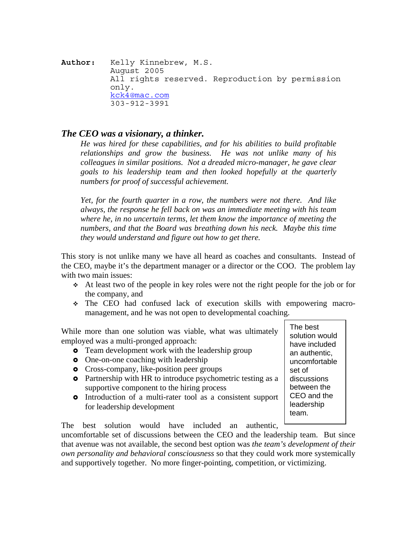**Author:** Kelly Kinnebrew, M.S. August 2005 All rights reserved. Reproduction by permission only. [kck4@mac.com](mailto:kck4@mac.com) 303-912-3991

## *The CEO was a visionary, a thinker.*

*He was hired for these capabilities, and for his abilities to build profitable relationships and grow the business. He was not unlike many of his colleagues in similar positions. Not a dreaded micro-manager, he gave clear goals to his leadership team and then looked hopefully at the quarterly numbers for proof of successful achievement.* 

*Yet, for the fourth quarter in a row, the numbers were not there. And like always, the response he fell back on was an immediate meeting with his team where he, in no uncertain terms, let them know the importance of meeting the numbers, and that the Board was breathing down his neck. Maybe this time they would understand and figure out how to get there.* 

This story is not unlike many we have all heard as coaches and consultants. Instead of the CEO, maybe it's the department manager or a director or the COO. The problem lay with two main issues:

- At least two of the people in key roles were not the right people for the job or for the company, and
- The CEO had confused lack of execution skills with empowering macromanagement, and he was not open to developmental coaching.

While more than one solution was viable, what was ultimately employed was a multi-pronged approach:

- **•** Team development work with the leadership group
- One-on-one coaching with leadership
- **•** Cross-company, like-position peer groups
- Partnership with HR to introduce psychometric testing as a supportive component to the hiring process
- Introduction of a multi-rater tool as a consistent support for leadership development

The best solution would have included an authentic,

uncomfortable set of discussions between the CEO and the leadership team. But since that avenue was not available, the second best option was *the team's development of their own personality and behavioral consciousness* so that they could work more systemically and supportively together. No more finger-pointing, competition, or victimizing.

The best solution would have included an authentic, uncomfortable set of discussions between the CEO and the leadership team.